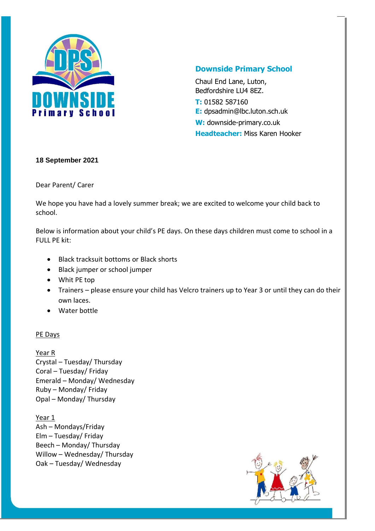

# **Downside Primary School**

Chaul End Lane, Luton, Bedfordshire LU4 8EZ. **T:** 01582 587160 **E:** dpsadmin@lbc.luton.sch.uk **W:** downside-primary.co.uk **Headteacher:** Miss Karen Hooker

### **18 September 2021**

Dear Parent/ Carer

We hope you have had a lovely summer break; we are excited to welcome your child back to school.

Below is information about your child's PE days. On these days children must come to school in a FULL PE kit:

- Black tracksuit bottoms or Black shorts
- Black jumper or school jumper
- Whit PE top
- Trainers please ensure your child has Velcro trainers up to Year 3 or until they can do their own laces.
- Water bottle

# PE Days

### Year R

Crystal – Tuesday/ Thursday Coral – Tuesday/ Friday Emerald – Monday/ Wednesday Ruby – Monday/ Friday Opal – Monday/ Thursday

Year 1 Ash – Mondays/Friday Elm – Tuesday/ Friday Beech – Monday/ Thursday Willow – Wednesday/ Thursday Oak – Tuesday/ Wednesday